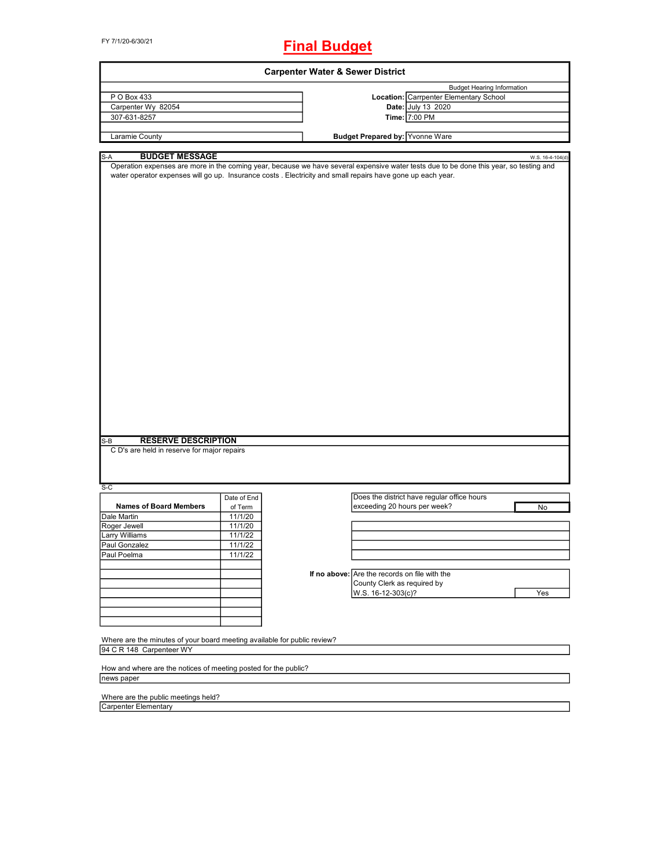FY 7/1/20-6/30/21

# **Final Budget**

| <b>Carpenter Water &amp; Sewer District</b>                                                                                                                                                                                                                                           |             |  |                                               |                                             |  |                  |
|---------------------------------------------------------------------------------------------------------------------------------------------------------------------------------------------------------------------------------------------------------------------------------------|-------------|--|-----------------------------------------------|---------------------------------------------|--|------------------|
|                                                                                                                                                                                                                                                                                       |             |  |                                               | <b>Budget Hearing Information</b>           |  |                  |
| P O Box 433                                                                                                                                                                                                                                                                           |             |  |                                               | Location: Carrpenter Elementary School      |  |                  |
| Carpenter Wy 82054                                                                                                                                                                                                                                                                    |             |  |                                               | Date: July 13 2020                          |  |                  |
| 307-631-8257                                                                                                                                                                                                                                                                          |             |  |                                               | Time: 7:00 PM                               |  |                  |
|                                                                                                                                                                                                                                                                                       |             |  |                                               |                                             |  |                  |
| Laramie County                                                                                                                                                                                                                                                                        |             |  | <b>Budget Prepared by: Yvonne Ware</b>        |                                             |  |                  |
|                                                                                                                                                                                                                                                                                       |             |  |                                               |                                             |  |                  |
| <b>BUDGET MESSAGE</b><br>S-A<br>Operation expenses are more in the coming year, because we have several expensive water tests due to be done this year, so testing and<br>water operator expenses will go up. Insurance costs . Electricity and small repairs have gone up each year. |             |  |                                               |                                             |  | W.S. 16-4-104(d) |
| <b>RESERVE DESCRIPTION</b><br>S-B                                                                                                                                                                                                                                                     |             |  |                                               |                                             |  |                  |
| C D's are held in reserve for major repairs                                                                                                                                                                                                                                           |             |  |                                               |                                             |  |                  |
| $S-C$                                                                                                                                                                                                                                                                                 |             |  |                                               |                                             |  |                  |
| <b>Names of Board Members</b>                                                                                                                                                                                                                                                         | Date of End |  |                                               | Does the district have regular office hours |  |                  |
|                                                                                                                                                                                                                                                                                       | of Term     |  | exceeding 20 hours per week?                  |                                             |  | No               |
| Dale Martin                                                                                                                                                                                                                                                                           | 11/1/20     |  |                                               |                                             |  |                  |
| Roger Jewell                                                                                                                                                                                                                                                                          | 11/1/20     |  |                                               |                                             |  |                  |
| Larry Williams                                                                                                                                                                                                                                                                        | 11/1/22     |  |                                               |                                             |  |                  |
| Paul Gonzalez                                                                                                                                                                                                                                                                         | 11/1/22     |  |                                               |                                             |  |                  |
| Paul Poelma                                                                                                                                                                                                                                                                           | 11/1/22     |  |                                               |                                             |  |                  |
|                                                                                                                                                                                                                                                                                       |             |  | If no above: Are the records on file with the |                                             |  |                  |
|                                                                                                                                                                                                                                                                                       |             |  |                                               |                                             |  |                  |
|                                                                                                                                                                                                                                                                                       |             |  | County Clerk as required by                   |                                             |  |                  |
|                                                                                                                                                                                                                                                                                       |             |  | W.S. 16-12-303(c)?                            |                                             |  | Yes              |
|                                                                                                                                                                                                                                                                                       |             |  |                                               |                                             |  |                  |
|                                                                                                                                                                                                                                                                                       |             |  |                                               |                                             |  |                  |
|                                                                                                                                                                                                                                                                                       |             |  |                                               |                                             |  |                  |
| Where are the minutes of your board meeting available for public review?                                                                                                                                                                                                              |             |  |                                               |                                             |  |                  |
| 94 C R 148 Carpenteer WY                                                                                                                                                                                                                                                              |             |  |                                               |                                             |  |                  |
|                                                                                                                                                                                                                                                                                       |             |  |                                               |                                             |  |                  |
| How and where are the notices of meeting posted for the public?                                                                                                                                                                                                                       |             |  |                                               |                                             |  |                  |
| news paper                                                                                                                                                                                                                                                                            |             |  |                                               |                                             |  |                  |

Where are the public meetings held?

Carpenter Elementary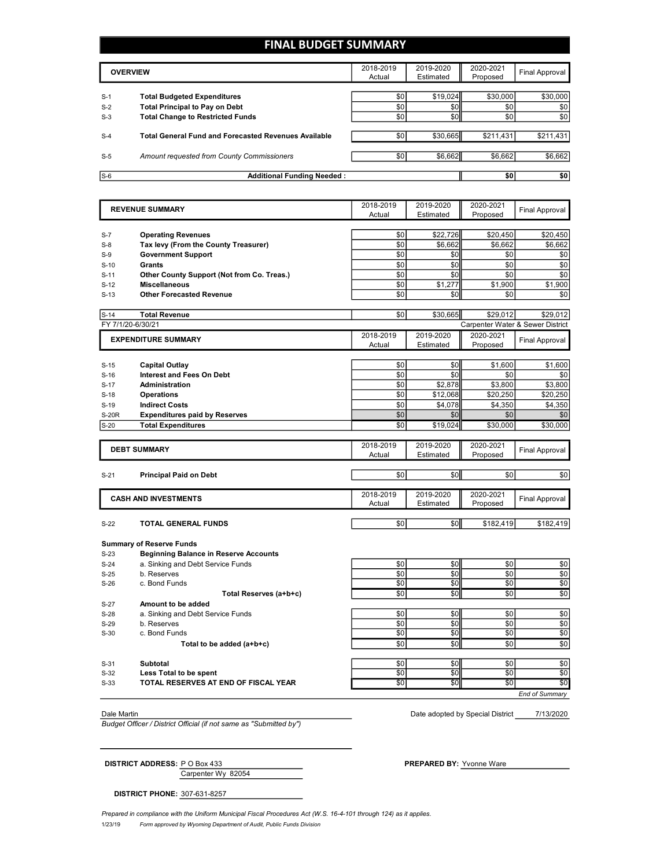# **FINAL BUDGET SUMMARY**

|                | <b>OVERVIEW</b>                                                             | 2018-2019<br>Actual | 2019-2020<br>Estimated | 2020-2021<br>Proposed | <b>Final Approval</b> |
|----------------|-----------------------------------------------------------------------------|---------------------|------------------------|-----------------------|-----------------------|
|                |                                                                             |                     |                        |                       |                       |
| $S-1$<br>$S-2$ | <b>Total Budgeted Expenditures</b><br><b>Total Principal to Pay on Debt</b> | \$0<br>\$0          | \$19,024<br>\$0        | \$30,000<br>\$0       | \$30,000<br>\$0       |
| $S-3$          | <b>Total Change to Restricted Funds</b>                                     | \$0                 | \$0                    | \$0                   | \$0                   |
|                |                                                                             |                     |                        |                       |                       |
| $S-4$          | <b>Total General Fund and Forecasted Revenues Available</b>                 | \$0                 | \$30.665               | \$211.431             | \$211,431             |
| $S-5$          | Amount requested from County Commissioners                                  | \$0                 | \$6,662                | \$6,662               | \$6,662               |
|                |                                                                             |                     |                        |                       |                       |
| $S-6$          | <b>Additional Funding Needed:</b>                                           |                     |                        | \$0                   | \$0                   |

|                     | <b>REVENUE SUMMARY</b>                                            |                                 | 2019-2020           | 2020-2021           | <b>Final Approval</b>            |
|---------------------|-------------------------------------------------------------------|---------------------------------|---------------------|---------------------|----------------------------------|
|                     |                                                                   | Estimated<br>Proposed<br>Actual |                     |                     |                                  |
|                     |                                                                   |                                 |                     |                     |                                  |
| $S-7$<br>$S-8$      | <b>Operating Revenues</b><br>Tax levy (From the County Treasurer) | \$0<br>\$0                      | \$22,726<br>\$6,662 | \$20,450<br>\$6,662 | \$20,450<br>\$6,662              |
| $S-9$               | <b>Government Support</b>                                         | \$0                             | \$0                 | \$0                 | \$0                              |
|                     | Grants                                                            | \$0                             | \$0                 | \$0                 | \$0                              |
| $S-10$<br>$S-11$    | Other County Support (Not from Co. Treas.)                        | \$0                             | \$0                 | \$0                 | \$0                              |
| $S-12$              | <b>Miscellaneous</b>                                              | \$0                             | \$1,277             | \$1,900             | \$1,900                          |
| $S-13$              | <b>Other Forecasted Revenue</b>                                   | \$0                             | \$0                 | \$0                 | \$0                              |
|                     |                                                                   |                                 |                     |                     |                                  |
| $S-14$              | <b>Total Revenue</b>                                              | \$0                             | \$30,665            | \$29,012            | \$29,012                         |
|                     | FY 7/1/20-6/30/21                                                 |                                 |                     |                     | Carpenter Water & Sewer District |
|                     | <b>EXPENDITURE SUMMARY</b>                                        | 2018-2019                       | 2019-2020           | 2020-2021           | <b>Final Approval</b>            |
|                     |                                                                   | Actual                          | Estimated           | Proposed            |                                  |
|                     |                                                                   |                                 |                     |                     |                                  |
| $S-15$              | <b>Capital Outlay</b>                                             | \$0                             | \$0                 | \$1,600             | \$1,600                          |
| $S-16$              | <b>Interest and Fees On Debt</b>                                  | \$0<br>\$0                      | \$0                 | \$0                 | \$0                              |
| $S-17$              | <b>Administration</b>                                             |                                 | \$2,878             | \$3,800             | \$3,800                          |
| $S-18$              | <b>Operations</b>                                                 | \$0<br>\$0                      | \$12,068            | \$20,250            | \$20,250                         |
| $S-19$              | <b>Indirect Costs</b>                                             |                                 | \$4,078<br>\$0      | \$4,350             | \$4,350                          |
| S-20R               | <b>Expenditures paid by Reserves</b>                              | \$0                             |                     | \$0                 | \$0                              |
| $S-20$              | <b>Total Expenditures</b>                                         | \$0                             | \$19,024            | \$30,000            | \$30,000                         |
| <b>DEBT SUMMARY</b> |                                                                   | 2018-2019                       | 2019-2020           | 2020-2021           |                                  |
|                     |                                                                   | Actual                          | Estimated           | Proposed            | <b>Final Approval</b>            |
|                     |                                                                   |                                 |                     |                     |                                  |
| $S-21$              | <b>Principal Paid on Debt</b>                                     | \$0                             | \$0                 | \$0                 | \$0                              |
|                     |                                                                   | 2018-2019                       | 2019-2020           | 2020-2021           |                                  |
|                     | <b>CASH AND INVESTMENTS</b>                                       | Actual                          | Estimated           | Proposed            | <b>Final Approval</b>            |
|                     |                                                                   |                                 |                     |                     |                                  |
| $S-22$              | TOTAL GENERAL FUNDS                                               | \$0                             | \$0                 | \$182,419           | \$182,419                        |
|                     | <b>Summary of Reserve Funds</b>                                   |                                 |                     |                     |                                  |
| $S-23$              | <b>Beginning Balance in Reserve Accounts</b>                      |                                 |                     |                     |                                  |
| $S-24$              | a. Sinking and Debt Service Funds                                 | \$0                             | \$0                 | \$0                 | \$0                              |
| $S-25$              | b. Reserves                                                       | \$0                             | \$0                 | \$0                 | \$0                              |
| $S-26$              | c. Bond Funds                                                     | \$0                             | \$0                 | \$0                 | \$0                              |
|                     | Total Reserves (a+b+c)                                            | \$0                             | \$0                 | \$0                 | \$0                              |
| $S-27$              | Amount to be added                                                |                                 |                     |                     |                                  |
| $S-28$              | a. Sinking and Debt Service Funds                                 | \$0                             | \$0                 | \$0                 | \$0                              |
| $S-29$              | b. Reserves                                                       | \$0                             | \$0                 | \$0                 | \$0                              |
| $S-30$              | c. Bond Funds                                                     | \$0                             | \$0                 | \$0                 | \$0                              |
|                     | Total to be added (a+b+c)                                         | \$0                             | \$0                 | \$0                 | \$0                              |
|                     |                                                                   |                                 |                     |                     |                                  |
| $S-31$              | Subtotal                                                          | \$0                             | \$0                 | \$0                 | \$0                              |
| $S-32$              | Less Total to be spent                                            | \$0                             | \$0                 | \$0                 | \$0                              |
| $S-33$              | TOTAL RESERVES AT END OF FISCAL YEAR                              | \$0                             | \$0                 | \$0                 | \$0                              |
|                     |                                                                   |                                 |                     |                     | <b>End of Summary</b>            |
|                     |                                                                   |                                 |                     |                     |                                  |

*Budget Officer / District Official (if not same as "Submitted by")*

7/13/2020 Dale Martin Date adopted by Special District

Carpenter Wy 82054 **DISTRICT ADDRESS:** PO Box 433 **PREPARED BY:** Yvonne Ware

**DISTRICT PHONE:** 307-631-8257

*Prepared in compliance with the Uniform Municipal Fiscal Procedures Act (W.S. 16-4-101 through 124) as it applies.*

1/23/19 *Form approved by Wyoming Department of Audit, Public Funds Division*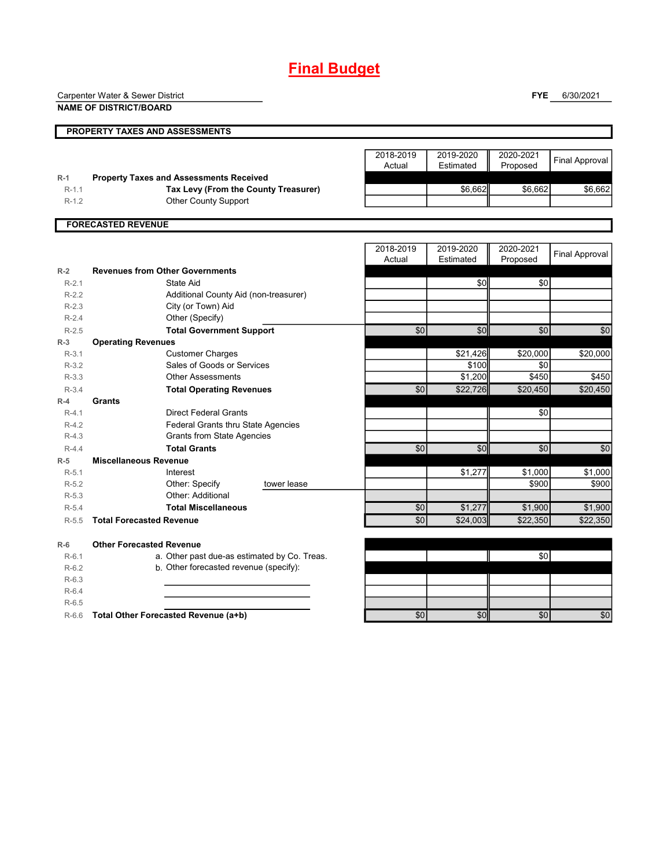# **Final Budget**

Carpenter Water & Sewer District

**NAME OF DISTRICT/BOARD**

**FYE** 6/30/2021

|         | PROPERTY TAXES AND ASSESSMENTS                 |                     |                        |                       |                       |
|---------|------------------------------------------------|---------------------|------------------------|-----------------------|-----------------------|
|         |                                                | 2018-2019<br>Actual | 2019-2020<br>Estimated | 2020-2021<br>Proposed | <b>Final Approval</b> |
| $R-1$   | <b>Property Taxes and Assessments Received</b> |                     |                        |                       |                       |
| $R-1.1$ | Tax Levy (From the County Treasurer)           |                     | \$6,662                | \$6,662               | \$6,662               |
| $R-1.2$ | <b>Other County Support</b>                    |                     |                        |                       |                       |
|         | <b>FORECASTED REVENUE</b>                      |                     |                        |                       |                       |
|         |                                                | 2018-2019           | 2019-2020              | 2020-2021             |                       |
|         |                                                | Actual              | Estimated              | Proposed              | <b>Final Approval</b> |
| $R-2$   | <b>Revenues from Other Governments</b>         |                     |                        |                       |                       |
| $R-2.1$ | State Aid                                      |                     | \$0                    | \$0                   |                       |
| $R-2.2$ | Additional County Aid (non-treasurer)          |                     |                        |                       |                       |
| $R-2.3$ | City (or Town) Aid                             |                     |                        |                       |                       |
| $R-2.4$ | Other (Specify)                                |                     |                        |                       |                       |
| $R-2.5$ | <b>Total Government Support</b>                | \$0                 | \$0                    | \$0                   | \$0                   |
| $R-3$   | <b>Operating Revenues</b>                      |                     |                        |                       |                       |
| $R-3.1$ | <b>Customer Charges</b>                        |                     | \$21,426               | \$20,000              | \$20,000              |
| $R-3.2$ | Sales of Goods or Services                     |                     | \$100                  | \$0                   |                       |
| $R-3.3$ | <b>Other Assessments</b>                       |                     | \$1,200                | \$450                 | \$450                 |
| $R-3.4$ | <b>Total Operating Revenues</b>                | \$0                 | \$22,726               | \$20,450              | \$20,450              |
| $R-4$   | Grants                                         |                     |                        |                       |                       |
| $R-4.1$ | <b>Direct Federal Grants</b>                   |                     |                        | \$0                   |                       |
| $R-4.2$ | Federal Grants thru State Agencies             |                     |                        |                       |                       |
| $R-4.3$ | <b>Grants from State Agencies</b>              |                     |                        |                       |                       |
| $R-4.4$ | <b>Total Grants</b>                            | \$0                 | $\sqrt{6}$             | \$0                   | \$0                   |
| $R-5$   | <b>Miscellaneous Revenue</b>                   |                     |                        |                       |                       |
| $R-5.1$ | Interest                                       |                     | \$1,277                | \$1,000               | \$1,000               |
| $R-5.2$ | Other: Specify<br>tower lease                  |                     |                        | \$900                 | \$900                 |
| $R-5.3$ | Other: Additional                              |                     |                        |                       |                       |
| $R-5.4$ | <b>Total Miscellaneous</b>                     | \$0                 | \$1,277                | \$1,900               | \$1,900               |
| $R-5.5$ | <b>Total Forecasted Revenue</b>                | \$0                 | \$24,003               | \$22,350              | \$22,350              |
| $R-6$   | <b>Other Forecasted Revenue</b>                |                     |                        |                       |                       |
| $R-6.1$ | a. Other past due-as estimated by Co. Treas.   |                     |                        | \$0                   |                       |
| $R-6.2$ | b. Other forecasted revenue (specify):         |                     |                        |                       |                       |
| $R-6.3$ |                                                |                     |                        |                       |                       |
| $R-6.4$ |                                                |                     |                        |                       |                       |
| $R-6.5$ |                                                |                     |                        |                       |                       |
| $R-6.6$ | Total Other Forecasted Revenue (a+b)           | \$0                 | \$0                    | \$0                   | $\overline{50}$       |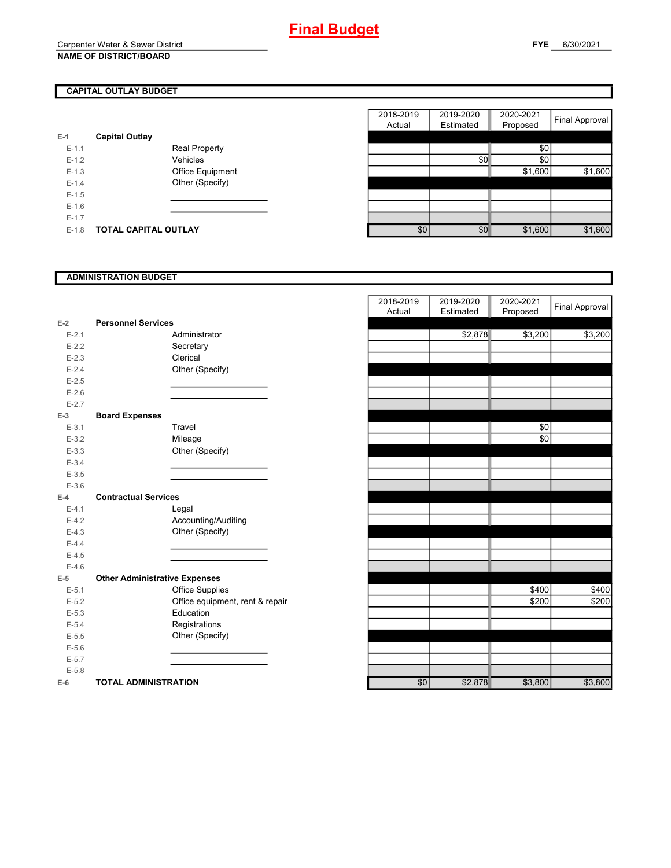# **CAPITAL OUTLAY BUDGET**

| E-1     | <b>Capital Outlay</b>       |                         |
|---------|-----------------------------|-------------------------|
| $F-1$ 1 |                             | <b>Real Property</b>    |
| $F-12$  |                             | Vehicles                |
| $F-1.3$ |                             | <b>Office Equipment</b> |
| $F-14$  |                             | Other (Specify)         |
| $F-1.5$ |                             |                         |
| $F-16$  |                             |                         |
| $F-17$  |                             |                         |
| $F-1.8$ | <b>TOTAL CAPITAL OUTLAY</b> |                         |

|         |                             |                      | 2018-2019 | 2019-2020  | 2020-2021 |                |
|---------|-----------------------------|----------------------|-----------|------------|-----------|----------------|
|         |                             |                      | Actual    | Estimated  | Proposed  | Final Approval |
|         | <b>Capital Outlay</b>       |                      |           |            |           |                |
| $E-1.1$ |                             | <b>Real Property</b> |           |            | \$0       |                |
| $E-1.2$ |                             | Vehicles             |           | <b>\$0</b> | \$0       |                |
| $E-1.3$ |                             | Office Equipment     |           |            | \$1,600   | \$1,600        |
| $E-1.4$ |                             | Other (Specify)      |           |            |           |                |
| $E-1.5$ |                             |                      |           |            |           |                |
| $E-1.6$ |                             |                      |           |            |           |                |
| $E-1.7$ |                             |                      |           |            |           |                |
| $E-1.8$ | <b>TOTAL CAPITAL OUTLAY</b> |                      | \$0       | \$0        | \$1,600   | \$1,600        |

## **ADMINISTRATION BUDGET**

|           |                                      |                                 | Actual          | csunated | <b>FIUPUSEU</b> |
|-----------|--------------------------------------|---------------------------------|-----------------|----------|-----------------|
| $E-2$     | <b>Personnel Services</b>            |                                 |                 |          |                 |
| $E - 2.1$ |                                      | Administrator                   |                 | \$2,878  | \$3,200         |
| $E-2.2$   |                                      | Secretary                       |                 |          |                 |
| $E-2.3$   |                                      | Clerical                        |                 |          |                 |
| $E-2.4$   |                                      | Other (Specify)                 |                 |          |                 |
| $E-2.5$   |                                      |                                 |                 |          |                 |
| $E-2.6$   |                                      |                                 |                 |          |                 |
| $E - 2.7$ |                                      |                                 |                 |          |                 |
| $E-3$     | <b>Board Expenses</b>                |                                 |                 |          |                 |
| $E - 3.1$ |                                      | Travel                          |                 |          | \$0             |
| $E - 3.2$ |                                      | Mileage                         |                 |          | \$0             |
| $E-3.3$   |                                      | Other (Specify)                 |                 |          |                 |
| $E - 3.4$ |                                      |                                 |                 |          |                 |
| $E - 3.5$ |                                      |                                 |                 |          |                 |
| $E - 3.6$ |                                      |                                 |                 |          |                 |
| $E-4$     | <b>Contractual Services</b>          |                                 |                 |          |                 |
| $E-4.1$   |                                      | Legal                           |                 |          |                 |
| $E - 4.2$ |                                      | Accounting/Auditing             |                 |          |                 |
| $E-4.3$   |                                      | Other (Specify)                 |                 |          |                 |
| $E-4.4$   |                                      |                                 |                 |          |                 |
| $E-4.5$   |                                      |                                 |                 |          |                 |
| $E-4.6$   |                                      |                                 |                 |          |                 |
| $E-5$     | <b>Other Administrative Expenses</b> |                                 |                 |          |                 |
| $E - 5.1$ |                                      | <b>Office Supplies</b>          |                 |          | \$400           |
| $E-5.2$   |                                      | Office equipment, rent & repair |                 |          | \$200           |
| $E-5.3$   |                                      | Education                       |                 |          |                 |
| $E - 5.4$ |                                      | Registrations                   |                 |          |                 |
| $E-5.5$   |                                      | Other (Specify)                 |                 |          |                 |
| $E-5.6$   |                                      |                                 |                 |          |                 |
| $E - 5.7$ |                                      |                                 |                 |          |                 |
| $E - 5.8$ |                                      |                                 |                 |          |                 |
| F-6       | TOTAL ADMINISTRATION                 |                                 | SO <sub>1</sub> | \$2878   | \$3800          |

|           |                                      | 2018-2019 | 2019-2020 | 2020-2021 | <b>Final Approval</b> |
|-----------|--------------------------------------|-----------|-----------|-----------|-----------------------|
|           |                                      | Actual    | Estimated | Proposed  |                       |
| $E-2$     | <b>Personnel Services</b>            |           |           |           |                       |
| $E - 2.1$ | Administrator                        |           | \$2,878   | \$3,200   | \$3,200               |
| $E - 2.2$ | Secretary                            |           |           |           |                       |
| $E - 2.3$ | Clerical                             |           |           |           |                       |
| $E - 2.4$ | Other (Specify)                      |           |           |           |                       |
| $E-2.5$   |                                      |           |           |           |                       |
| $E-2.6$   |                                      |           |           |           |                       |
| $E - 2.7$ |                                      |           |           |           |                       |
| $E-3$     | <b>Board Expenses</b>                |           |           |           |                       |
| $E-3.1$   | Travel                               |           |           | \$0       |                       |
| $E-3.2$   | Mileage                              |           |           | \$0       |                       |
| $E - 3.3$ | Other (Specify)                      |           |           |           |                       |
| $E - 3.4$ |                                      |           |           |           |                       |
| $E-3.5$   |                                      |           |           |           |                       |
| $E - 3.6$ |                                      |           |           |           |                       |
| $E-4$     | <b>Contractual Services</b>          |           |           |           |                       |
| $E - 4.1$ | Legal                                |           |           |           |                       |
| $E-4.2$   | Accounting/Auditing                  |           |           |           |                       |
| $E - 4.3$ | Other (Specify)                      |           |           |           |                       |
| $E-4.4$   |                                      |           |           |           |                       |
| $E-4.5$   |                                      |           |           |           |                       |
| $E-4.6$   |                                      |           |           |           |                       |
| $E-5$     | <b>Other Administrative Expenses</b> |           |           |           |                       |
| $E-5.1$   | Office Supplies                      |           |           | \$400     | \$400                 |
| $E - 5.2$ | Office equipment, rent & repair      |           |           | \$200     | \$200                 |
| $E - 5.3$ | Education                            |           |           |           |                       |
| $E - 5.4$ | Registrations                        |           |           |           |                       |
| $E - 5.5$ | Other (Specify)                      |           |           |           |                       |
| $E-5.6$   |                                      |           |           |           |                       |
| $E - 5.7$ |                                      |           |           |           |                       |
| $E - 5.8$ |                                      |           |           |           |                       |
| $E-6$     | <b>TOTAL ADMINISTRATION</b>          | \$0       | \$2,878   | \$3,800   | \$3,800               |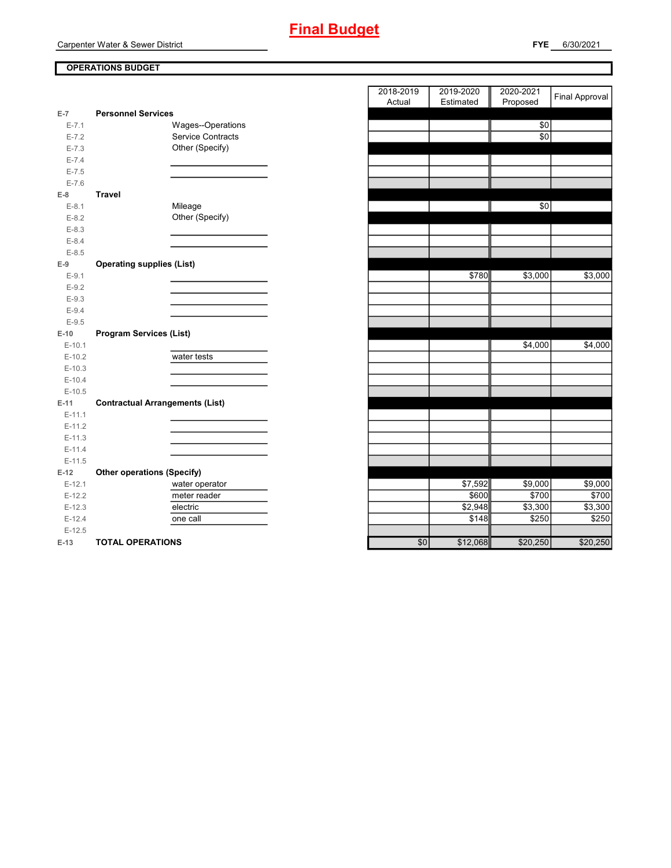Carpenter Water & Sewer District

# **OPERATIONS BUDGET**

| $E-7$     | <b>Personnel Services</b>              |                             |               |
|-----------|----------------------------------------|-----------------------------|---------------|
| $E - 7.1$ | Wages--Operations                      |                             | \$0           |
| $E - 7.2$ | Service Contracts                      |                             | $\frac{6}{3}$ |
| $E - 7.3$ | Other (Specify)                        |                             |               |
| $E - 7.4$ |                                        |                             |               |
| $E - 7.5$ |                                        |                             |               |
| $E - 7.6$ |                                        |                             |               |
| $E-8$     | <b>Travel</b>                          |                             |               |
| $E-8.1$   | Mileage                                |                             | \$0           |
| $E-8.2$   | Other (Specify)                        |                             |               |
| $E-8.3$   |                                        |                             |               |
| $E - 8.4$ |                                        |                             |               |
| $E - 8.5$ |                                        |                             |               |
| $E-9$     | <b>Operating supplies (List)</b>       |                             |               |
| $E-9.1$   |                                        | \$780                       | \$3,000       |
| $E-9.2$   |                                        |                             |               |
| $E-9.3$   |                                        |                             |               |
| $E - 9.4$ |                                        |                             |               |
| $E-9.5$   |                                        |                             |               |
| $E-10$    | <b>Program Services (List)</b>         |                             |               |
| $E-10.1$  |                                        |                             | \$4,000       |
| $E-10.2$  | water tests                            |                             |               |
| $E-10.3$  |                                        |                             |               |
| $E-10.4$  |                                        |                             |               |
| $E-10.5$  |                                        |                             |               |
| $E-11$    | <b>Contractual Arrangements (List)</b> |                             |               |
| $E-11.1$  |                                        |                             |               |
| $E-11.2$  |                                        |                             |               |
| $E-11.3$  |                                        |                             |               |
| $E-11.4$  |                                        |                             |               |
| $E-11.5$  |                                        |                             |               |
| $E-12$    | <b>Other operations (Specify)</b>      |                             |               |
| $E-12.1$  | water operator                         | \$7,592                     | \$9,000       |
| $E-12.2$  | meter reader                           | \$600                       | \$700         |
| $E-12.3$  | electric                               | \$2,948                     | \$3,300       |
| $E-12.4$  | one call                               | \$148                       | \$250         |
| $E-12.5$  |                                        |                             |               |
| $E-13$    | <b>TOTAL OPERATIONS</b>                | \$12,068<br>$\overline{50}$ | \$20,250      |

|                |                                        | 2018-2019<br>2019-2020<br>2020-2021 | <b>Final Approval</b> |
|----------------|----------------------------------------|-------------------------------------|-----------------------|
|                |                                        | Estimated<br>Proposed<br>Actual     |                       |
| 7              | <b>Personnel Services</b>              |                                     |                       |
| $E - 7.1$      | Wages--Operations                      | \$0                                 |                       |
| $E - 7.2$      | Service Contracts                      | \$0                                 |                       |
| $E - 7.3$      | Other (Specify)                        |                                     |                       |
| $E - 7.4$      |                                        |                                     |                       |
| $E - 7.5$      |                                        |                                     |                       |
| $E - 7.6$      |                                        |                                     |                       |
| 8              | <b>Travel</b>                          |                                     |                       |
| $E-8.1$        | Mileage                                | \$0                                 |                       |
| $E-8.2$        | Other (Specify)                        |                                     |                       |
| $E - 8.3$      |                                        |                                     |                       |
| $E - 8.4$      |                                        |                                     |                       |
| $E-8.5$        |                                        |                                     |                       |
| 9              | <b>Operating supplies (List)</b>       |                                     |                       |
| $E-9.1$        |                                        | \$780<br>\$3,000                    | \$3,000               |
| $E-9.2$        |                                        |                                     |                       |
| $E - 9.3$      |                                        |                                     |                       |
| $E-9.4$        |                                        |                                     |                       |
| $E-9.5$        |                                        |                                     |                       |
| 10             | <b>Program Services (List)</b>         |                                     |                       |
| $E-10.1$       |                                        | \$4,000                             | \$4,000               |
| $E-10.2$       | water tests                            |                                     |                       |
| $E-10.3$       |                                        |                                     |                       |
| $E-10.4$       |                                        |                                     |                       |
| $E-10.5$       |                                        |                                     |                       |
| $11 -$         | <b>Contractual Arrangements (List)</b> |                                     |                       |
| $E-11.1$       |                                        |                                     |                       |
| $E-11.2$       |                                        |                                     |                       |
| $E-11.3$       |                                        |                                     |                       |
| $E-11.4$       |                                        |                                     |                       |
| $E-11.5$       |                                        |                                     |                       |
| 12             | <b>Other operations (Specify)</b>      |                                     |                       |
| $E-12.1$       | water operator                         | \$7,592<br>$\frac{1}{1}9,000$       | \$9,000               |
| $E-12.2$       | meter reader                           | \$600<br>\$700                      | \$700                 |
| $E-12.3$       | electric                               | \$2,948<br>\$3,300                  | \$3,300               |
| $E-12.4$       | one call                               | \$148<br>\$250                      | \$250                 |
| $E-12.5$       |                                        |                                     |                       |
| $\overline{a}$ | TOTAL ODEDATIONS                       | 01200<br>$\sim$<br><b>COO OFOI</b>  | 0.200                 |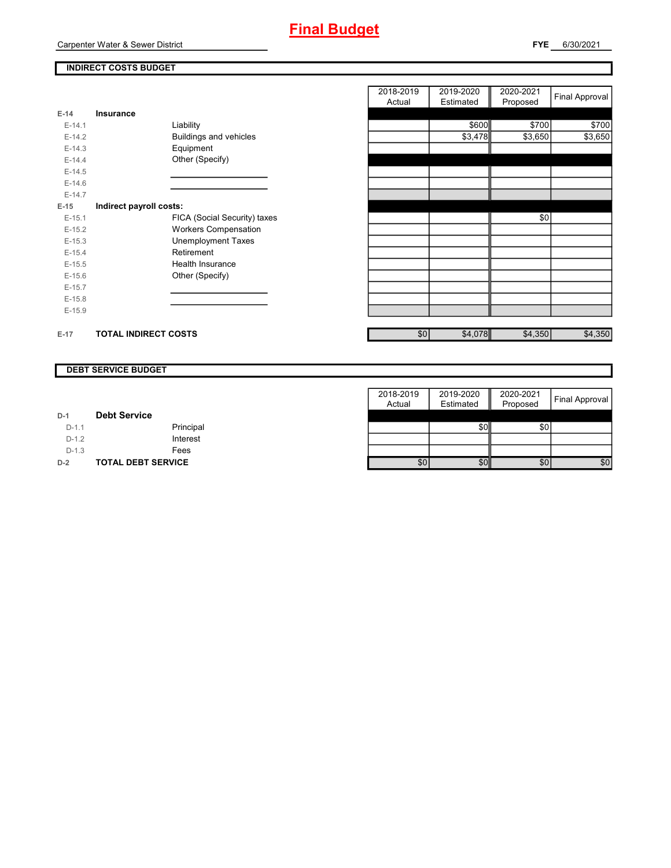

**FYE** 6/30/2021

# **INDIRECT COSTS BUDGET**

|          |                             |                              | Actual | Estimated | Proposed |
|----------|-----------------------------|------------------------------|--------|-----------|----------|
| $E-14$   | Insurance                   |                              |        |           |          |
| $E-14.1$ |                             | Liability                    |        | \$600     | \$700    |
| $E-14.2$ |                             | Buildings and vehicles       |        | \$3,478   | \$3,650  |
| $E-14.3$ |                             | Equipment                    |        |           |          |
| $E-14.4$ |                             | Other (Specify)              |        |           |          |
| $E-14.5$ |                             |                              |        |           |          |
| $E-14.6$ |                             |                              |        |           |          |
| $E-14.7$ |                             |                              |        |           |          |
| $E-15$   | Indirect payroll costs:     |                              |        |           |          |
| $E-15.1$ |                             | FICA (Social Security) taxes |        |           | \$0      |
| $E-15.2$ |                             | <b>Workers Compensation</b>  |        |           |          |
| $E-15.3$ |                             | <b>Unemployment Taxes</b>    |        |           |          |
| $E-15.4$ |                             | Retirement                   |        |           |          |
| $E-15.5$ |                             | Health Insurance             |        |           |          |
| $E-15.6$ |                             | Other (Specify)              |        |           |          |
| $E-15.7$ |                             |                              |        |           |          |
| $E-15.8$ |                             |                              |        |           |          |
| $E-15.9$ |                             |                              |        |           |          |
|          |                             |                              |        |           |          |
| $E-17$   | <b>TOTAL INDIRECT COSTS</b> |                              | \$0    | \$4,078   | \$4,350  |

|          |                             |                              | 2018-2019 | 2019-2020 | 2020-2021 | <b>Final Approval</b> |
|----------|-----------------------------|------------------------------|-----------|-----------|-----------|-----------------------|
|          |                             |                              | Actual    | Estimated | Proposed  |                       |
| 14       | Insurance                   |                              |           |           |           |                       |
| $E-14.1$ |                             | Liability                    |           | \$600     | \$700     | \$700                 |
| $E-14.2$ |                             | Buildings and vehicles       |           | \$3,478   | \$3,650   | \$3,650               |
| $E-14.3$ |                             | Equipment                    |           |           |           |                       |
| $E-14.4$ |                             | Other (Specify)              |           |           |           |                       |
| $E-14.5$ |                             |                              |           |           |           |                       |
| $E-14.6$ |                             |                              |           |           |           |                       |
| $E-14.7$ |                             |                              |           |           |           |                       |
| 15       | Indirect payroll costs:     |                              |           |           |           |                       |
| $E-15.1$ |                             | FICA (Social Security) taxes |           |           | \$0       |                       |
| $E-15.2$ |                             | <b>Workers Compensation</b>  |           |           |           |                       |
| $E-15.3$ |                             | Unemployment Taxes           |           |           |           |                       |
| $E-15.4$ |                             | Retirement                   |           |           |           |                       |
| $E-15.5$ |                             | Health Insurance             |           |           |           |                       |
| $E-15.6$ |                             | Other (Specify)              |           |           |           |                       |
| $E-15.7$ |                             |                              |           |           |           |                       |
| $E-15.8$ |                             |                              |           |           |           |                       |
| $E-15.9$ |                             |                              |           |           |           |                       |
|          |                             |                              |           |           |           |                       |
| 17       | <b>TOTAL INDIRECT COSTS</b> |                              | \$0       | \$4,078   | \$4,350   | \$4,350               |

#### **DEBT SERVICE BUDGET**

|         |                           | 2018-2019 | 2019-2020 | 2020-2021 |                |
|---------|---------------------------|-----------|-----------|-----------|----------------|
|         |                           | Actual    | Estimated | Proposed  | Final Approval |
| $D-1$   | <b>Debt Service</b>       |           |           |           |                |
| $D-1.1$ | Principal                 |           | \$0       | \$0       |                |
| $D-1.2$ | Interest                  |           |           |           |                |
| $D-1.3$ | Fees                      |           |           |           |                |
| $D-2$   | <b>TOTAL DEBT SERVICE</b> | \$0       | \$0       | \$0       | \$0            |